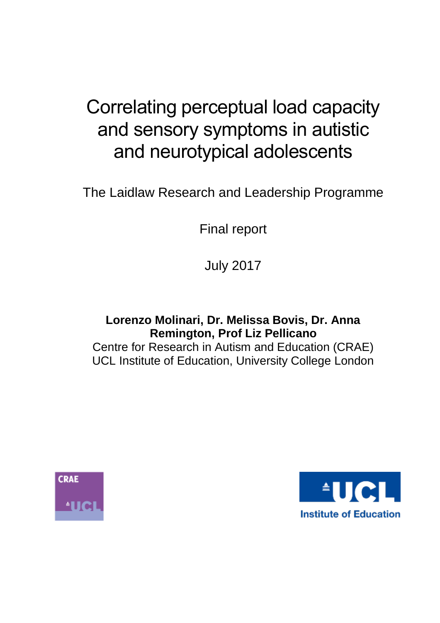# Correlating perceptual load capacity and sensory symptoms in autistic and neurotypical adolescents

The Laidlaw Research and Leadership Programme

Final report

July 2017

**Lorenzo Molinari, Dr. Melissa Bovis, Dr. Anna Remington, Prof Liz Pellicano** Centre for Research in Autism and Education (CRAE) UCL Institute of Education, University College London



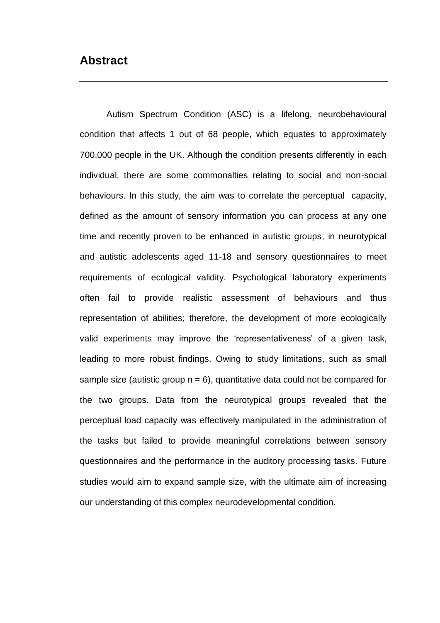# <span id="page-1-0"></span>**Abstract**

Autism Spectrum Condition (ASC) is a lifelong, neurobehavioural condition that affects 1 out of 68 people, which equates to approximately 700,000 people in the UK. Although the condition presents differently in each individual, there are some commonalties relating to social and non-social behaviours. In this study, the aim was to correlate the perceptual capacity, defined as the amount of sensory information you can process at any one time and recently proven to be enhanced in autistic groups, in neurotypical and autistic adolescents aged 11-18 and sensory questionnaires to meet requirements of ecological validity. Psychological laboratory experiments often fail to provide realistic assessment of behaviours and thus representation of abilities; therefore, the development of more ecologically valid experiments may improve the 'representativeness' of a given task, leading to more robust findings. Owing to study limitations, such as small sample size (autistic group  $n = 6$ ), quantitative data could not be compared for the two groups. Data from the neurotypical groups revealed that the perceptual load capacity was effectively manipulated in the administration of the tasks but failed to provide meaningful correlations between sensory questionnaires and the performance in the auditory processing tasks. Future studies would aim to expand sample size, with the ultimate aim of increasing our understanding of this complex neurodevelopmental condition.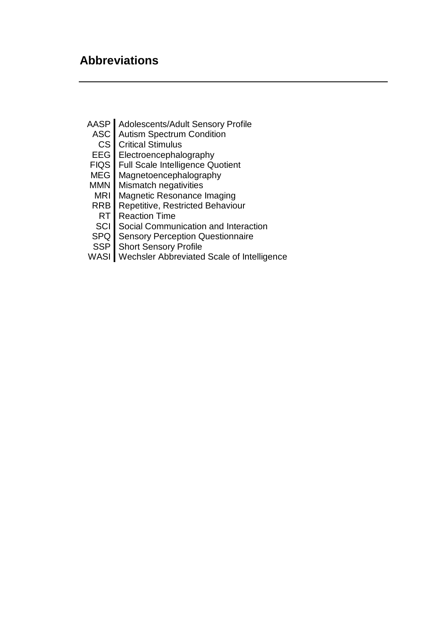- <span id="page-2-0"></span>AASP Adolescents/Adult Sensory Profile<br>ASC Autism Spectrum Condition
	- **Autism Spectrum Condition**
	- CS Critical Stimulus
- EEG | Electroencephalography
- FIQS Full Scale Intelligence Quotient
- MEG Magnetoencephalography
- MMN Mismatch negativities
- MRI Magnetic Resonance Imaging<br>RRB Repetitive, Restricted Behavio
- RB Repetitive, Restricted Behaviour<br>RT Reaction Time
- **Reaction Time**
- SCI Social Communication and Interaction
- SPQ Sensory Perception Questionnaire
- SSP Short Sensory Profile
- WASI Wechsler Abbreviated Scale of Intelligence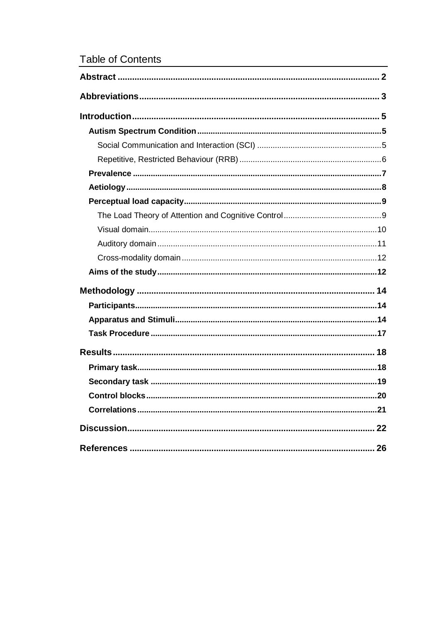# **Table of Contents**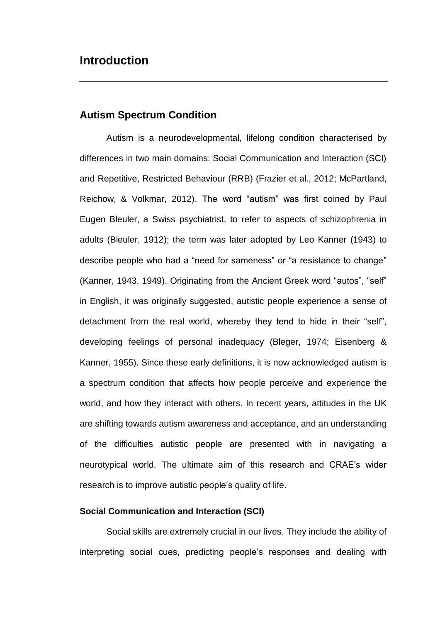# <span id="page-4-0"></span>**Introduction**

## <span id="page-4-1"></span>**Autism Spectrum Condition**

Autism is a neurodevelopmental, lifelong condition characterised by differences in two main domains: Social Communication and Interaction (SCI) and Repetitive, Restricted Behaviour (RRB) (Frazier et al., 2012; McPartland, Reichow, & Volkmar, 2012). The word "autism" was first coined by Paul Eugen Bleuler, a Swiss psychiatrist, to refer to aspects of schizophrenia in adults (Bleuler, 1912); the term was later adopted by Leo Kanner (1943) to describe people who had a "need for sameness" or "a resistance to change" (Kanner, 1943, 1949). Originating from the Ancient Greek word "autos", "self" in English, it was originally suggested, autistic people experience a sense of detachment from the real world, whereby they tend to hide in their "self", developing feelings of personal inadequacy (Bleger, 1974; Eisenberg & Kanner, 1955). Since these early definitions, it is now acknowledged autism is a spectrum condition that affects how people perceive and experience the world, and how they interact with others. In recent years, attitudes in the UK are shifting towards autism awareness and acceptance, and an understanding of the difficulties autistic people are presented with in navigating a neurotypical world. The ultimate aim of this research and CRAE's wider research is to improve autistic people's quality of life.

#### <span id="page-4-2"></span>**Social Communication and Interaction (SCI)**

Social skills are extremely crucial in our lives. They include the ability of interpreting social cues, predicting people's responses and dealing with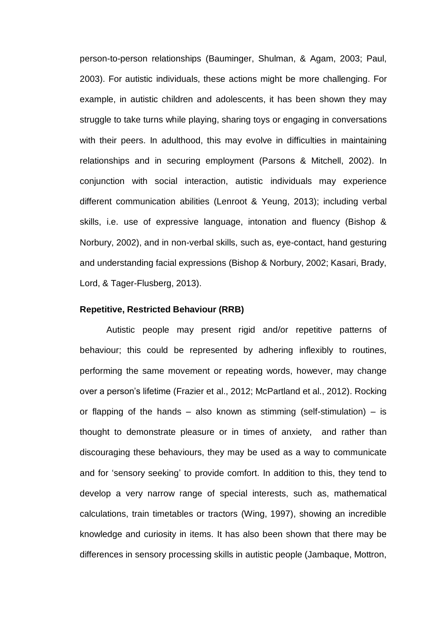person-to-person relationships (Bauminger, Shulman, & Agam, 2003; Paul, 2003). For autistic individuals, these actions might be more challenging. For example, in autistic children and adolescents, it has been shown they may struggle to take turns while playing, sharing toys or engaging in conversations with their peers. In adulthood, this may evolve in difficulties in maintaining relationships and in securing employment (Parsons & Mitchell, 2002). In conjunction with social interaction, autistic individuals may experience different communication abilities (Lenroot & Yeung, 2013); including verbal skills, i.e. use of expressive language, intonation and fluency (Bishop & Norbury, 2002), and in non-verbal skills, such as, eye-contact, hand gesturing and understanding facial expressions (Bishop & Norbury, 2002; Kasari, Brady, Lord, & Tager-Flusberg, 2013).

#### <span id="page-5-0"></span>**Repetitive, Restricted Behaviour (RRB)**

Autistic people may present rigid and/or repetitive patterns of behaviour; this could be represented by adhering inflexibly to routines, performing the same movement or repeating words, however, may change over a person's lifetime (Frazier et al., 2012; McPartland et al., 2012). Rocking or flapping of the hands – also known as stimming (self-stimulation) – is thought to demonstrate pleasure or in times of anxiety, and rather than discouraging these behaviours, they may be used as a way to communicate and for 'sensory seeking' to provide comfort. In addition to this, they tend to develop a very narrow range of special interests, such as, mathematical calculations, train timetables or tractors (Wing, 1997), showing an incredible knowledge and curiosity in items. It has also been shown that there may be differences in sensory processing skills in autistic people (Jambaque, Mottron,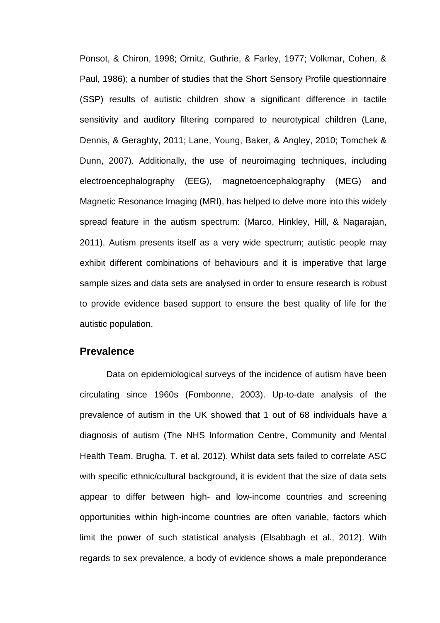Ponsot, & Chiron, 1998; Ornitz, Guthrie, & Farley, 1977; Volkmar, Cohen, & Paul, 1986); a number of studies that the Short Sensory Profile questionnaire (SSP) results of autistic children show a significant difference in tactile sensitivity and auditory filtering compared to neurotypical children (Lane, Dennis, & Geraghty, 2011; Lane, Young, Baker, & Angley, 2010; Tomchek & Dunn, 2007). Additionally, the use of neuroimaging techniques, including electroencephalography (EEG), magnetoencephalography (MEG) and Magnetic Resonance Imaging (MRI), has helped to delve more into this widely spread feature in the autism spectrum: (Marco, Hinkley, Hill, & Nagarajan, 2011). Autism presents itself as a very wide spectrum; autistic people may exhibit different combinations of behaviours and it is imperative that large sample sizes and data sets are analysed in order to ensure research is robust to provide evidence based support to ensure the best quality of life for the autistic population.

#### <span id="page-6-0"></span>**Prevalence**

Data on epidemiological surveys of the incidence of autism have been circulating since 1960s (Fombonne, 2003). Up-to-date analysis of the prevalence of autism in the UK showed that 1 out of 68 individuals have a diagnosis of autism (The NHS Information Centre, Community and Mental Health Team, Brugha, T. et al, 2012). Whilst data sets failed to correlate ASC with specific ethnic/cultural background, it is evident that the size of data sets appear to differ between high- and low-income countries and screening opportunities within high-income countries are often variable, factors which limit the power of such statistical analysis (Elsabbagh et al., 2012). With regards to sex prevalence, a body of evidence shows a male preponderance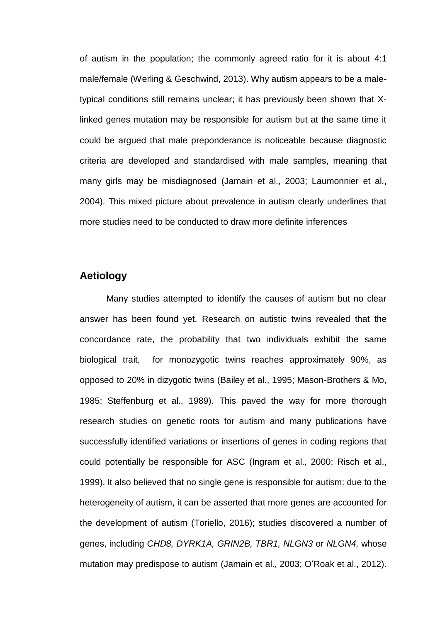of autism in the population; the commonly agreed ratio for it is about 4:1 male/female (Werling & Geschwind, 2013). Why autism appears to be a maletypical conditions still remains unclear; it has previously been shown that Xlinked genes mutation may be responsible for autism but at the same time it could be argued that male preponderance is noticeable because diagnostic criteria are developed and standardised with male samples, meaning that many girls may be misdiagnosed (Jamain et al., 2003; Laumonnier et al., 2004). This mixed picture about prevalence in autism clearly underlines that more studies need to be conducted to draw more definite inferences

# <span id="page-7-0"></span>**Aetiology**

Many studies attempted to identify the causes of autism but no clear answer has been found yet. Research on autistic twins revealed that the concordance rate, the probability that two individuals exhibit the same biological trait, for monozygotic twins reaches approximately 90%, as opposed to 20% in dizygotic twins (Bailey et al., 1995; Mason-Brothers & Mo, 1985; Steffenburg et al., 1989). This paved the way for more thorough research studies on genetic roots for autism and many publications have successfully identified variations or insertions of genes in coding regions that could potentially be responsible for ASC (Ingram et al., 2000; Risch et al., 1999). It also believed that no single gene is responsible for autism: due to the heterogeneity of autism, it can be asserted that more genes are accounted for the development of autism (Toriello, 2016); studies discovered a number of genes, including *CHD8, DYRK1A, GRIN2B, TBR1, NLGN3* or *NLGN4,* whose mutation may predispose to autism (Jamain et al., 2003; O'Roak et al., 2012).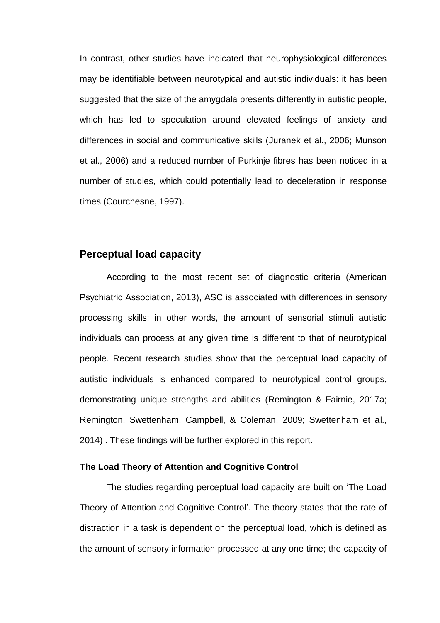In contrast, other studies have indicated that neurophysiological differences may be identifiable between neurotypical and autistic individuals: it has been suggested that the size of the amygdala presents differently in autistic people, which has led to speculation around elevated feelings of anxiety and differences in social and communicative skills (Juranek et al., 2006; Munson et al., 2006) and a reduced number of Purkinje fibres has been noticed in a number of studies, which could potentially lead to deceleration in response times (Courchesne, 1997).

# <span id="page-8-0"></span>**Perceptual load capacity**

According to the most recent set of diagnostic criteria (American Psychiatric Association, 2013), ASC is associated with differences in sensory processing skills; in other words, the amount of sensorial stimuli autistic individuals can process at any given time is different to that of neurotypical people. Recent research studies show that the perceptual load capacity of autistic individuals is enhanced compared to neurotypical control groups, demonstrating unique strengths and abilities (Remington & Fairnie, 2017a; Remington, Swettenham, Campbell, & Coleman, 2009; Swettenham et al., 2014) . These findings will be further explored in this report.

#### <span id="page-8-1"></span>**The Load Theory of Attention and Cognitive Control**

The studies regarding perceptual load capacity are built on 'The Load Theory of Attention and Cognitive Control'. The theory states that the rate of distraction in a task is dependent on the perceptual load, which is defined as the amount of sensory information processed at any one time; the capacity of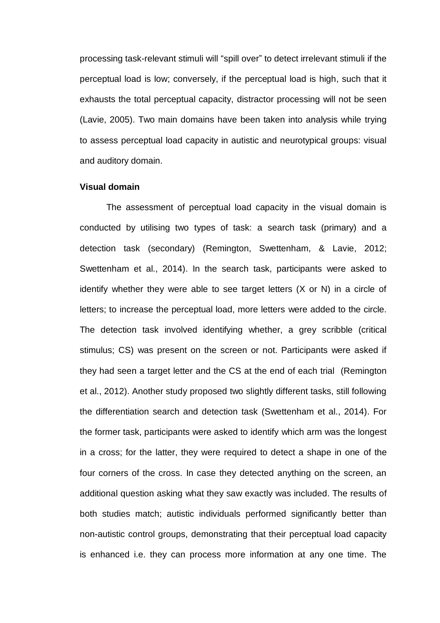processing task-relevant stimuli will "spill over" to detect irrelevant stimuli if the perceptual load is low; conversely, if the perceptual load is high, such that it exhausts the total perceptual capacity, distractor processing will not be seen (Lavie, 2005). Two main domains have been taken into analysis while trying to assess perceptual load capacity in autistic and neurotypical groups: visual and auditory domain.

#### <span id="page-9-0"></span>**Visual domain**

The assessment of perceptual load capacity in the visual domain is conducted by utilising two types of task: a search task (primary) and a detection task (secondary) (Remington, Swettenham, & Lavie, 2012; Swettenham et al., 2014). In the search task, participants were asked to identify whether they were able to see target letters (X or N) in a circle of letters; to increase the perceptual load, more letters were added to the circle. The detection task involved identifying whether, a grey scribble (critical stimulus; CS) was present on the screen or not. Participants were asked if they had seen a target letter and the CS at the end of each trial (Remington et al., 2012). Another study proposed two slightly different tasks, still following the differentiation search and detection task (Swettenham et al., 2014). For the former task, participants were asked to identify which arm was the longest in a cross; for the latter, they were required to detect a shape in one of the four corners of the cross. In case they detected anything on the screen, an additional question asking what they saw exactly was included. The results of both studies match; autistic individuals performed significantly better than non-autistic control groups, demonstrating that their perceptual load capacity is enhanced i.e. they can process more information at any one time. The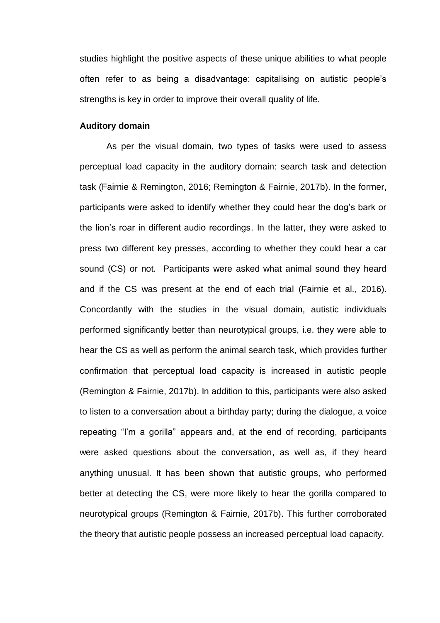studies highlight the positive aspects of these unique abilities to what people often refer to as being a disadvantage: capitalising on autistic people's strengths is key in order to improve their overall quality of life.

#### <span id="page-10-0"></span>**Auditory domain**

As per the visual domain, two types of tasks were used to assess perceptual load capacity in the auditory domain: search task and detection task (Fairnie & Remington, 2016; Remington & Fairnie, 2017b). In the former, participants were asked to identify whether they could hear the dog's bark or the lion's roar in different audio recordings. In the latter, they were asked to press two different key presses, according to whether they could hear a car sound (CS) or not. Participants were asked what animal sound they heard and if the CS was present at the end of each trial (Fairnie et al., 2016). Concordantly with the studies in the visual domain, autistic individuals performed significantly better than neurotypical groups, i.e. they were able to hear the CS as well as perform the animal search task, which provides further confirmation that perceptual load capacity is increased in autistic people (Remington & Fairnie, 2017b). In addition to this, participants were also asked to listen to a conversation about a birthday party; during the dialogue, a voice repeating "I'm a gorilla" appears and, at the end of recording, participants were asked questions about the conversation, as well as, if they heard anything unusual. It has been shown that autistic groups, who performed better at detecting the CS, were more likely to hear the gorilla compared to neurotypical groups (Remington & Fairnie, 2017b). This further corroborated the theory that autistic people possess an increased perceptual load capacity.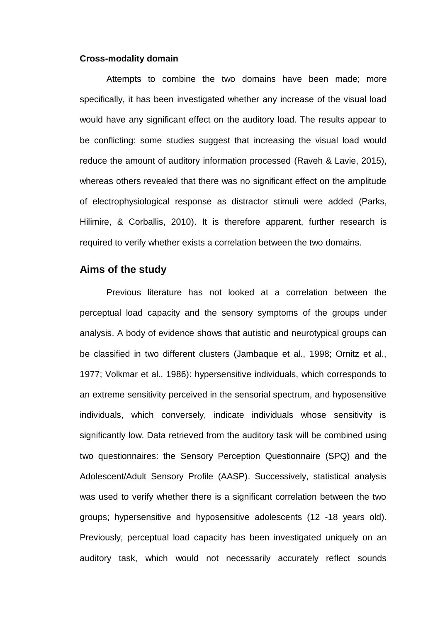#### <span id="page-11-0"></span>**Cross-modality domain**

Attempts to combine the two domains have been made; more specifically, it has been investigated whether any increase of the visual load would have any significant effect on the auditory load. The results appear to be conflicting: some studies suggest that increasing the visual load would reduce the amount of auditory information processed (Raveh & Lavie, 2015), whereas others revealed that there was no significant effect on the amplitude of electrophysiological response as distractor stimuli were added (Parks, Hilimire, & Corballis, 2010). It is therefore apparent, further research is required to verify whether exists a correlation between the two domains.

#### <span id="page-11-1"></span>**Aims of the study**

Previous literature has not looked at a correlation between the perceptual load capacity and the sensory symptoms of the groups under analysis. A body of evidence shows that autistic and neurotypical groups can be classified in two different clusters (Jambaque et al., 1998; Ornitz et al., 1977; Volkmar et al., 1986): hypersensitive individuals, which corresponds to an extreme sensitivity perceived in the sensorial spectrum, and hyposensitive individuals, which conversely, indicate individuals whose sensitivity is significantly low. Data retrieved from the auditory task will be combined using two questionnaires: the Sensory Perception Questionnaire (SPQ) and the Adolescent/Adult Sensory Profile (AASP). Successively, statistical analysis was used to verify whether there is a significant correlation between the two groups; hypersensitive and hyposensitive adolescents (12 -18 years old). Previously, perceptual load capacity has been investigated uniquely on an auditory task, which would not necessarily accurately reflect sounds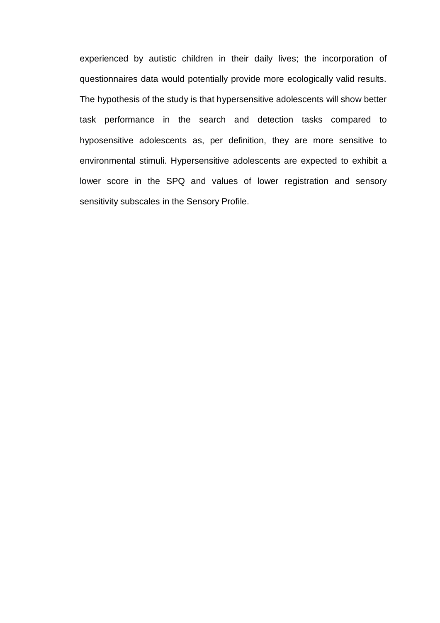experienced by autistic children in their daily lives; the incorporation of questionnaires data would potentially provide more ecologically valid results. The hypothesis of the study is that hypersensitive adolescents will show better task performance in the search and detection tasks compared to hyposensitive adolescents as, per definition, they are more sensitive to environmental stimuli. Hypersensitive adolescents are expected to exhibit a lower score in the SPQ and values of lower registration and sensory sensitivity subscales in the Sensory Profile.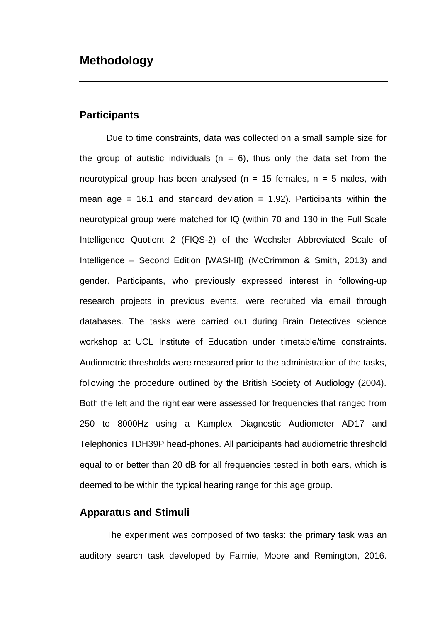# <span id="page-13-1"></span><span id="page-13-0"></span>**Participants**

Due to time constraints, data was collected on a small sample size for the group of autistic individuals ( $n = 6$ ), thus only the data set from the neurotypical group has been analysed ( $n = 15$  females,  $n = 5$  males, with mean age = 16.1 and standard deviation = 1.92). Participants within the neurotypical group were matched for IQ (within 70 and 130 in the Full Scale Intelligence Quotient 2 (FIQS-2) of the Wechsler Abbreviated Scale of Intelligence – Second Edition [WASI-II]) (McCrimmon & Smith, 2013) and gender. Participants, who previously expressed interest in following-up research projects in previous events, were recruited via email through databases. The tasks were carried out during Brain Detectives science workshop at UCL Institute of Education under timetable/time constraints. Audiometric thresholds were measured prior to the administration of the tasks, following the procedure outlined by the British Society of Audiology (2004). Both the left and the right ear were assessed for frequencies that ranged from 250 to 8000Hz using a Kamplex Diagnostic Audiometer AD17 and Telephonics TDH39P head-phones. All participants had audiometric threshold equal to or better than 20 dB for all frequencies tested in both ears, which is deemed to be within the typical hearing range for this age group.

### <span id="page-13-2"></span>**Apparatus and Stimuli**

The experiment was composed of two tasks: the primary task was an auditory search task developed by Fairnie, Moore and Remington, 2016.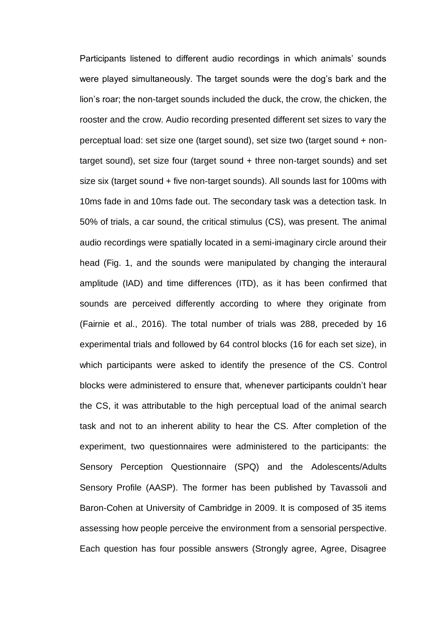Participants listened to different audio recordings in which animals' sounds were played simultaneously. The target sounds were the dog's bark and the lion's roar; the non-target sounds included the duck, the crow, the chicken, the rooster and the crow. Audio recording presented different set sizes to vary the perceptual load: set size one (target sound), set size two (target sound + nontarget sound), set size four (target sound + three non-target sounds) and set size six (target sound + five non-target sounds). All sounds last for 100ms with 10ms fade in and 10ms fade out. The secondary task was a detection task. In 50% of trials, a car sound, the critical stimulus (CS), was present. The animal audio recordings were spatially located in a semi-imaginary circle around their head (Fig. 1, and the sounds were manipulated by changing the interaural amplitude (IAD) and time differences (ITD), as it has been confirmed that sounds are perceived differently according to where they originate from (Fairnie et al., 2016). The total number of trials was 288, preceded by 16 experimental trials and followed by 64 control blocks (16 for each set size), in which participants were asked to identify the presence of the CS. Control blocks were administered to ensure that, whenever participants couldn't hear the CS, it was attributable to the high perceptual load of the animal search task and not to an inherent ability to hear the CS. After completion of the experiment, two questionnaires were administered to the participants: the Sensory Perception Questionnaire (SPQ) and the Adolescents/Adults Sensory Profile (AASP). The former has been published by Tavassoli and Baron-Cohen at University of Cambridge in 2009. It is composed of 35 items assessing how people perceive the environment from a sensorial perspective. Each question has four possible answers (Strongly agree, Agree, Disagree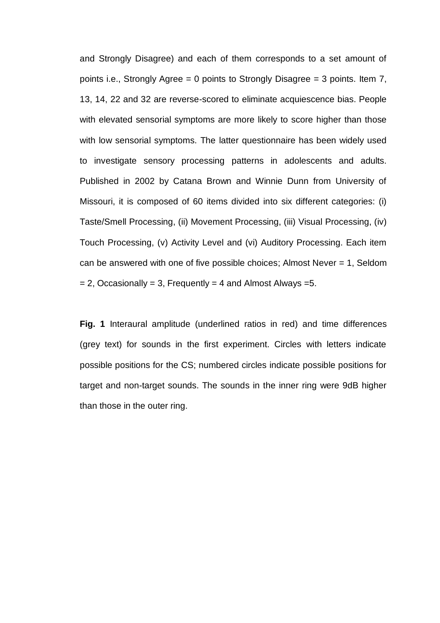and Strongly Disagree) and each of them corresponds to a set amount of points i.e., Strongly Agree = 0 points to Strongly Disagree = 3 points. Item 7, 13, 14, 22 and 32 are reverse-scored to eliminate acquiescence bias. People with elevated sensorial symptoms are more likely to score higher than those with low sensorial symptoms. The latter questionnaire has been widely used to investigate sensory processing patterns in adolescents and adults. Published in 2002 by Catana Brown and Winnie Dunn from University of Missouri, it is composed of 60 items divided into six different categories: (i) Taste/Smell Processing, (ii) Movement Processing, (iii) Visual Processing, (iv) Touch Processing, (v) Activity Level and (vi) Auditory Processing. Each item can be answered with one of five possible choices; Almost Never = 1, Seldom  $= 2$ , Occasionally = 3, Frequently = 4 and Almost Always = 5.

**Fig. 1** Interaural amplitude (underlined ratios in red) and time differences (grey text) for sounds in the first experiment. Circles with letters indicate possible positions for the CS; numbered circles indicate possible positions for target and non-target sounds. The sounds in the inner ring were 9dB higher than those in the outer ring.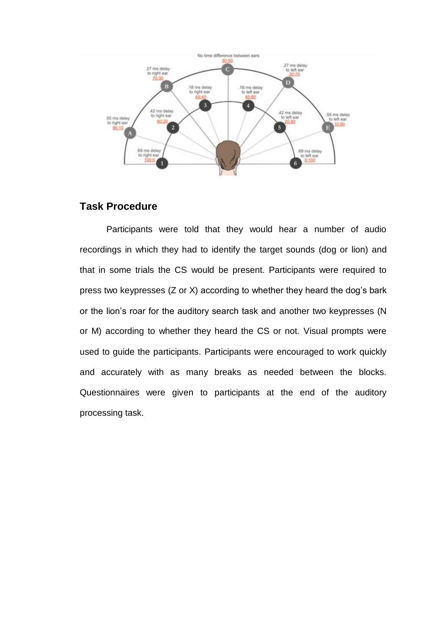

# <span id="page-16-0"></span>**Task Procedure**

Participants were told that they would hear a number of audio recordings in which they had to identify the target sounds (dog or lion) and that in some trials the CS would be present. Participants were required to press two keypresses (Z or X) according to whether they heard the dog's bark or the lion's roar for the auditory search task and another two keypresses (N or M) according to whether they heard the CS or not. Visual prompts were used to guide the participants. Participants were encouraged to work quickly and accurately with as many breaks as needed between the blocks. Questionnaires were given to participants at the end of the auditory processing task.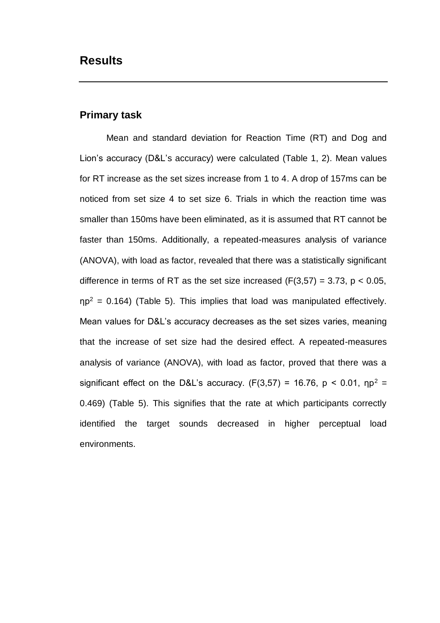# <span id="page-17-1"></span><span id="page-17-0"></span>**Primary task**

Mean and standard deviation for Reaction Time (RT) and Dog and Lion's accuracy (D&L's accuracy) were calculated (Table 1, 2). Mean values for RT increase as the set sizes increase from 1 to 4. A drop of 157ms can be noticed from set size 4 to set size 6. Trials in which the reaction time was smaller than 150ms have been eliminated, as it is assumed that RT cannot be faster than 150ms. Additionally, a repeated-measures analysis of variance (ANOVA), with load as factor, revealed that there was a statistically significant difference in terms of RT as the set size increased  $(F(3,57) = 3.73, p < 0.05,$  $np^2 = 0.164$ ) (Table 5). This implies that load was manipulated effectively. Mean values for D&L's accuracy decreases as the set sizes varies, meaning that the increase of set size had the desired effect. A repeated-measures analysis of variance (ANOVA), with load as factor, proved that there was a significant effect on the D&L's accuracy. (F(3,57) = 16.76,  $p < 0.01$ ,  $np^2 =$ 0.469) (Table 5). This signifies that the rate at which participants correctly identified the target sounds decreased in higher perceptual load environments.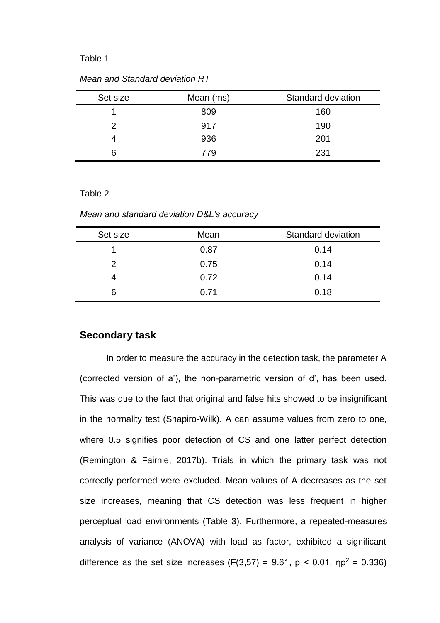#### Table 1

| Set size | Mean (ms) | Standard deviation |
|----------|-----------|--------------------|
|          | 809       | 160                |
| 2        | 917       | 190                |
|          | 936       | 201                |
| 6        | 779       | 231                |

*Mean and Standard deviation RT* 

#### Table 2

*Mean and standard deviation D&L's accuracy* 

| Mean | Standard deviation |
|------|--------------------|
| 0.87 | 0.14               |
| 0.75 | 0.14               |
| 0.72 | 0.14               |
| 0.71 | 0.18               |
|      |                    |

### <span id="page-18-0"></span>**Secondary task**

In order to measure the accuracy in the detection task, the parameter A (corrected version of a'), the non-parametric version of d', has been used. This was due to the fact that original and false hits showed to be insignificant in the normality test (Shapiro-Wilk). A can assume values from zero to one, where 0.5 signifies poor detection of CS and one latter perfect detection (Remington & Fairnie, 2017b). Trials in which the primary task was not correctly performed were excluded. Mean values of A decreases as the set size increases, meaning that CS detection was less frequent in higher perceptual load environments (Table 3). Furthermore, a repeated-measures analysis of variance (ANOVA) with load as factor, exhibited a significant difference as the set size increases (F(3,57) = 9.61,  $p < 0.01$ ,  $np^2 = 0.336$ )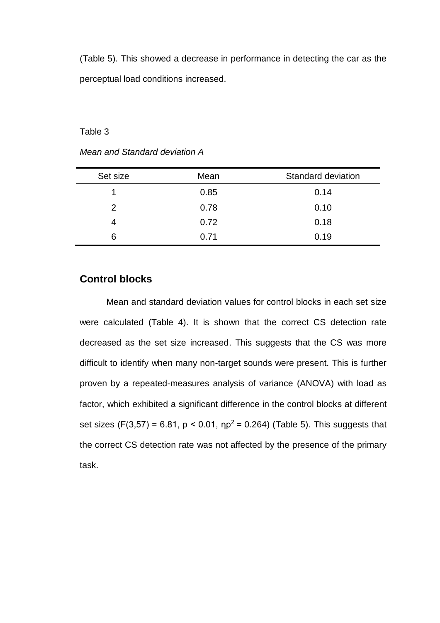(Table 5). This showed a decrease in performance in detecting the car as the perceptual load conditions increased.

Table 3

|  | Mean and Standard deviation A |  |  |  |
|--|-------------------------------|--|--|--|
|--|-------------------------------|--|--|--|

| Set size | Mean | Standard deviation |
|----------|------|--------------------|
|          | 0.85 | 0.14               |
| 2        | 0.78 | 0.10               |
| 4        | 0.72 | 0.18               |
| 6        | 0.71 | 0.19               |

# <span id="page-19-0"></span>**Control blocks**

Mean and standard deviation values for control blocks in each set size were calculated (Table 4). It is shown that the correct CS detection rate decreased as the set size increased. This suggests that the CS was more difficult to identify when many non-target sounds were present. This is further proven by a repeated-measures analysis of variance (ANOVA) with load as factor, which exhibited a significant difference in the control blocks at different set sizes (F(3,57) = 6.81,  $p < 0.01$ ,  $np^2 = 0.264$ ) (Table 5). This suggests that the correct CS detection rate was not affected by the presence of the primary task.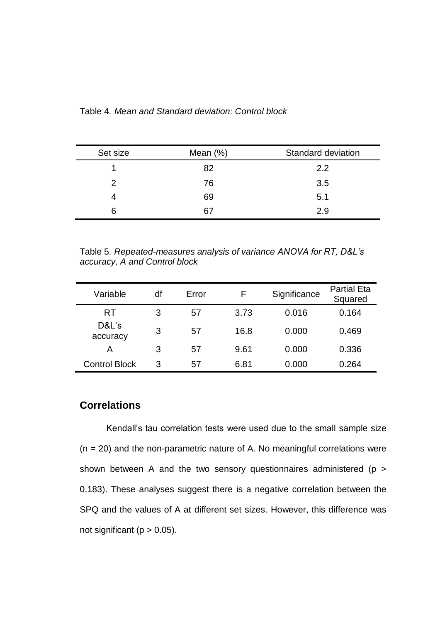| Table 4. Mean and Standard deviation: Control block |  |  |  |
|-----------------------------------------------------|--|--|--|
|-----------------------------------------------------|--|--|--|

| Set size | Mean $(\%)$ | Standard deviation |
|----------|-------------|--------------------|
|          | 82          | 2.2                |
|          | 76          | 3.5                |
|          | 69          | 5.1                |
| 6        | 67          | 2.9                |

Table 5*. Repeated-measures analysis of variance ANOVA for RT, D&L's accuracy, A and Control block*

| Variable             | df | Error |      | Significance | <b>Partial Eta</b><br>Squared |
|----------------------|----|-------|------|--------------|-------------------------------|
| RT                   | 3  | 57    | 3.73 | 0.016        | 0.164                         |
| D&L's<br>accuracy    | 3  | 57    | 16.8 | 0.000        | 0.469                         |
| Α                    | 3  | 57    | 9.61 | 0.000        | 0.336                         |
| <b>Control Block</b> | 3  | 57    | 6.81 | 0.000        | 0.264                         |

# <span id="page-20-0"></span>**Correlations**

Kendall's tau correlation tests were used due to the small sample size  $(n = 20)$  and the non-parametric nature of A. No meaningful correlations were shown between A and the two sensory questionnaires administered (p > 0.183). These analyses suggest there is a negative correlation between the SPQ and the values of A at different set sizes. However, this difference was not significant ( $p > 0.05$ ).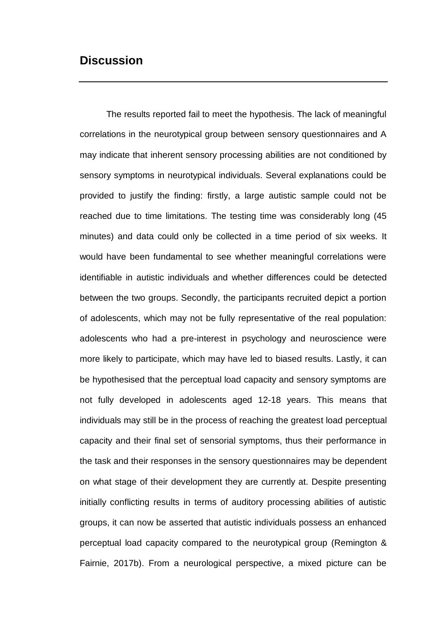# <span id="page-21-0"></span>**Discussion**

The results reported fail to meet the hypothesis. The lack of meaningful correlations in the neurotypical group between sensory questionnaires and A may indicate that inherent sensory processing abilities are not conditioned by sensory symptoms in neurotypical individuals. Several explanations could be provided to justify the finding: firstly, a large autistic sample could not be reached due to time limitations. The testing time was considerably long (45 minutes) and data could only be collected in a time period of six weeks. It would have been fundamental to see whether meaningful correlations were identifiable in autistic individuals and whether differences could be detected between the two groups. Secondly, the participants recruited depict a portion of adolescents, which may not be fully representative of the real population: adolescents who had a pre-interest in psychology and neuroscience were more likely to participate, which may have led to biased results. Lastly, it can be hypothesised that the perceptual load capacity and sensory symptoms are not fully developed in adolescents aged 12-18 years. This means that individuals may still be in the process of reaching the greatest load perceptual capacity and their final set of sensorial symptoms, thus their performance in the task and their responses in the sensory questionnaires may be dependent on what stage of their development they are currently at. Despite presenting initially conflicting results in terms of auditory processing abilities of autistic groups, it can now be asserted that autistic individuals possess an enhanced perceptual load capacity compared to the neurotypical group (Remington & Fairnie, 2017b). From a neurological perspective, a mixed picture can be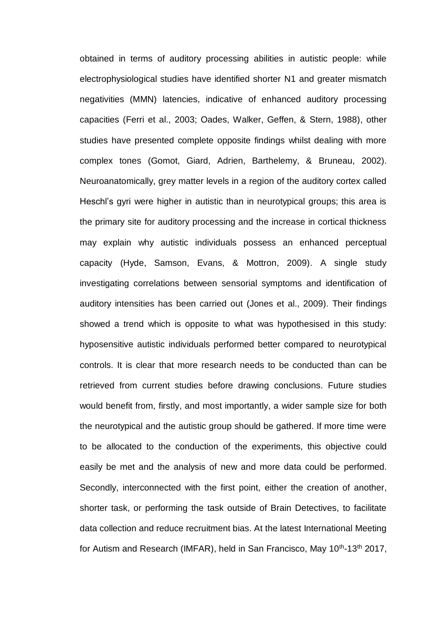obtained in terms of auditory processing abilities in autistic people: while electrophysiological studies have identified shorter N1 and greater mismatch negativities (MMN) latencies, indicative of enhanced auditory processing capacities (Ferri et al., 2003; Oades, Walker, Geffen, & Stern, 1988), other studies have presented complete opposite findings whilst dealing with more complex tones (Gomot, Giard, Adrien, Barthelemy, & Bruneau, 2002). Neuroanatomically, grey matter levels in a region of the auditory cortex called Heschl's gyri were higher in autistic than in neurotypical groups; this area is the primary site for auditory processing and the increase in cortical thickness may explain why autistic individuals possess an enhanced perceptual capacity (Hyde, Samson, Evans, & Mottron, 2009). A single study investigating correlations between sensorial symptoms and identification of auditory intensities has been carried out (Jones et al., 2009). Their findings showed a trend which is opposite to what was hypothesised in this study: hyposensitive autistic individuals performed better compared to neurotypical controls. It is clear that more research needs to be conducted than can be retrieved from current studies before drawing conclusions. Future studies would benefit from, firstly, and most importantly, a wider sample size for both the neurotypical and the autistic group should be gathered. If more time were to be allocated to the conduction of the experiments, this objective could easily be met and the analysis of new and more data could be performed. Secondly, interconnected with the first point, either the creation of another, shorter task, or performing the task outside of Brain Detectives, to facilitate data collection and reduce recruitment bias. At the latest International Meeting for Autism and Research (IMFAR), held in San Francisco, May 10<sup>th</sup>-13<sup>th</sup> 2017,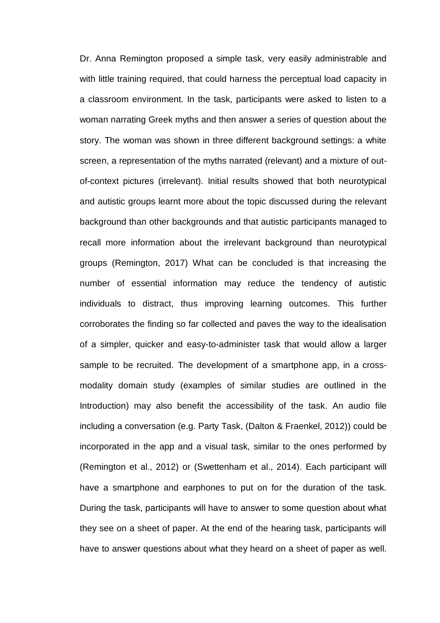Dr. Anna Remington proposed a simple task, very easily administrable and with little training required, that could harness the perceptual load capacity in a classroom environment. In the task, participants were asked to listen to a woman narrating Greek myths and then answer a series of question about the story. The woman was shown in three different background settings: a white screen, a representation of the myths narrated (relevant) and a mixture of outof-context pictures (irrelevant). Initial results showed that both neurotypical and autistic groups learnt more about the topic discussed during the relevant background than other backgrounds and that autistic participants managed to recall more information about the irrelevant background than neurotypical groups (Remington, 2017) What can be concluded is that increasing the number of essential information may reduce the tendency of autistic individuals to distract, thus improving learning outcomes. This further corroborates the finding so far collected and paves the way to the idealisation of a simpler, quicker and easy-to-administer task that would allow a larger sample to be recruited. The development of a smartphone app, in a crossmodality domain study (examples of similar studies are outlined in the Introduction) may also benefit the accessibility of the task. An audio file including a conversation (e.g. Party Task, (Dalton & Fraenkel, 2012)) could be incorporated in the app and a visual task, similar to the ones performed by (Remington et al., 2012) or (Swettenham et al., 2014). Each participant will have a smartphone and earphones to put on for the duration of the task. During the task, participants will have to answer to some question about what they see on a sheet of paper. At the end of the hearing task, participants will have to answer questions about what they heard on a sheet of paper as well.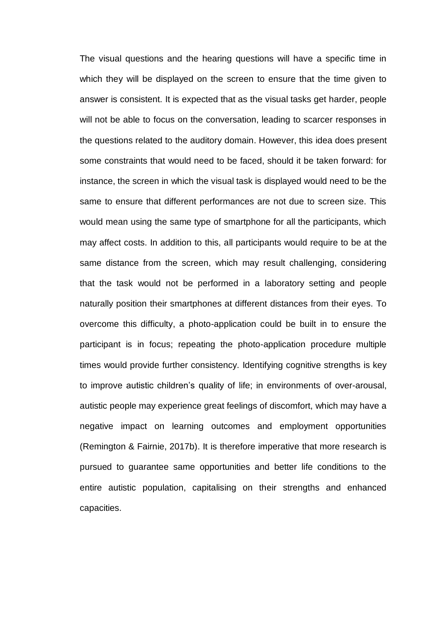The visual questions and the hearing questions will have a specific time in which they will be displayed on the screen to ensure that the time given to answer is consistent. It is expected that as the visual tasks get harder, people will not be able to focus on the conversation, leading to scarcer responses in the questions related to the auditory domain. However, this idea does present some constraints that would need to be faced, should it be taken forward: for instance, the screen in which the visual task is displayed would need to be the same to ensure that different performances are not due to screen size. This would mean using the same type of smartphone for all the participants, which may affect costs. In addition to this, all participants would require to be at the same distance from the screen, which may result challenging, considering that the task would not be performed in a laboratory setting and people naturally position their smartphones at different distances from their eyes. To overcome this difficulty, a photo-application could be built in to ensure the participant is in focus; repeating the photo-application procedure multiple times would provide further consistency. Identifying cognitive strengths is key to improve autistic children's quality of life; in environments of over-arousal, autistic people may experience great feelings of discomfort, which may have a negative impact on learning outcomes and employment opportunities (Remington & Fairnie, 2017b). It is therefore imperative that more research is pursued to guarantee same opportunities and better life conditions to the entire autistic population, capitalising on their strengths and enhanced capacities.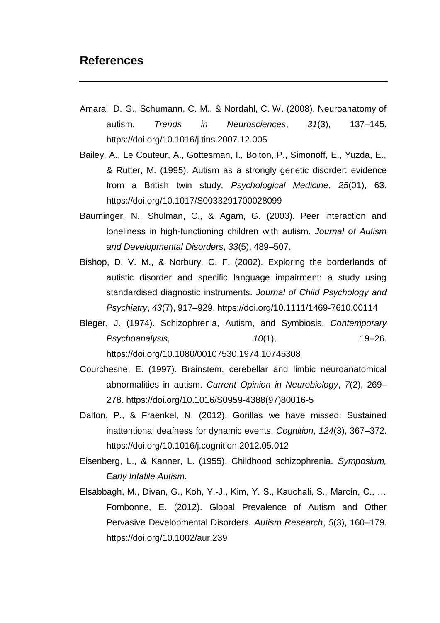# <span id="page-25-0"></span>**References**

- Amaral, D. G., Schumann, C. M., & Nordahl, C. W. (2008). Neuroanatomy of autism. *Trends in Neurosciences*, *31*(3), 137–145. https://doi.org/10.1016/j.tins.2007.12.005
- Bailey, A., Le Couteur, A., Gottesman, I., Bolton, P., Simonoff, E., Yuzda, E., & Rutter, M. (1995). Autism as a strongly genetic disorder: evidence from a British twin study. *Psychological Medicine*, *25*(01), 63. https://doi.org/10.1017/S0033291700028099
- Bauminger, N., Shulman, C., & Agam, G. (2003). Peer interaction and loneliness in high-functioning children with autism. *Journal of Autism and Developmental Disorders*, *33*(5), 489–507.
- Bishop, D. V. M., & Norbury, C. F. (2002). Exploring the borderlands of autistic disorder and specific language impairment: a study using standardised diagnostic instruments. *Journal of Child Psychology and Psychiatry*, *43*(7), 917–929. https://doi.org/10.1111/1469-7610.00114
- Bleger, J. (1974). Schizophrenia, Autism, and Symbiosis. *Contemporary Psychoanalysis*, *10*(1), 19–26. https://doi.org/10.1080/00107530.1974.10745308
- Courchesne, E. (1997). Brainstem, cerebellar and limbic neuroanatomical abnormalities in autism. *Current Opinion in Neurobiology*, *7*(2), 269– 278. https://doi.org/10.1016/S0959-4388(97)80016-5
- Dalton, P., & Fraenkel, N. (2012). Gorillas we have missed: Sustained inattentional deafness for dynamic events. *Cognition*, *124*(3), 367–372. https://doi.org/10.1016/j.cognition.2012.05.012
- Eisenberg, L., & Kanner, L. (1955). Childhood schizophrenia. *Symposium, Early Infatile Autism*.
- Elsabbagh, M., Divan, G., Koh, Y.-J., Kim, Y. S., Kauchali, S., Marcín, C., … Fombonne, E. (2012). Global Prevalence of Autism and Other Pervasive Developmental Disorders. *Autism Research*, *5*(3), 160–179. https://doi.org/10.1002/aur.239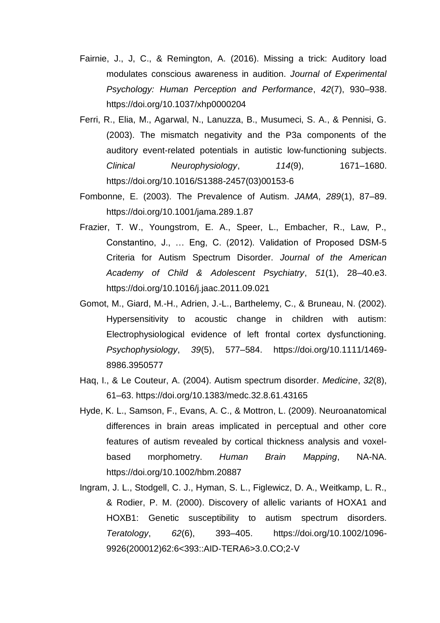- Fairnie, J., J, C., & Remington, A. (2016). Missing a trick: Auditory load modulates conscious awareness in audition. *Journal of Experimental Psychology: Human Perception and Performance*, *42*(7), 930–938. https://doi.org/10.1037/xhp0000204
- Ferri, R., Elia, M., Agarwal, N., Lanuzza, B., Musumeci, S. A., & Pennisi, G. (2003). The mismatch negativity and the P3a components of the auditory event-related potentials in autistic low-functioning subjects. *Clinical Neurophysiology*, *114*(9), 1671–1680. https://doi.org/10.1016/S1388-2457(03)00153-6
- Fombonne, E. (2003). The Prevalence of Autism. *JAMA*, *289*(1), 87–89. https://doi.org/10.1001/jama.289.1.87
- Frazier, T. W., Youngstrom, E. A., Speer, L., Embacher, R., Law, P., Constantino, J., … Eng, C. (2012). Validation of Proposed DSM-5 Criteria for Autism Spectrum Disorder. *Journal of the American Academy of Child & Adolescent Psychiatry*, *51*(1), 28–40.e3. https://doi.org/10.1016/j.jaac.2011.09.021
- Gomot, M., Giard, M.-H., Adrien, J.-L., Barthelemy, C., & Bruneau, N. (2002). Hypersensitivity to acoustic change in children with autism: Electrophysiological evidence of left frontal cortex dysfunctioning. *Psychophysiology*, *39*(5), 577–584. https://doi.org/10.1111/1469- 8986.3950577
- Haq, I., & Le Couteur, A. (2004). Autism spectrum disorder. *Medicine*, *32*(8), 61–63. https://doi.org/10.1383/medc.32.8.61.43165
- Hyde, K. L., Samson, F., Evans, A. C., & Mottron, L. (2009). Neuroanatomical differences in brain areas implicated in perceptual and other core features of autism revealed by cortical thickness analysis and voxelbased morphometry. *Human Brain Mapping*, NA-NA. https://doi.org/10.1002/hbm.20887
- Ingram, J. L., Stodgell, C. J., Hyman, S. L., Figlewicz, D. A., Weitkamp, L. R., & Rodier, P. M. (2000). Discovery of allelic variants of HOXA1 and HOXB1: Genetic susceptibility to autism spectrum disorders. *Teratology*, *62*(6), 393–405. https://doi.org/10.1002/1096- 9926(200012)62:6<393::AID-TERA6>3.0.CO;2-V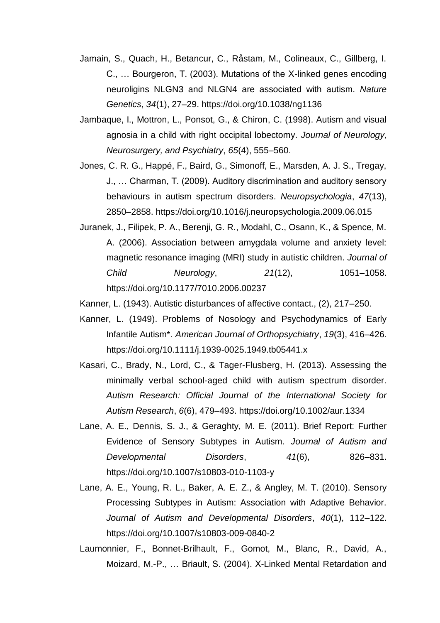- Jamain, S., Quach, H., Betancur, C., Råstam, M., Colineaux, C., Gillberg, I. C., … Bourgeron, T. (2003). Mutations of the X-linked genes encoding neuroligins NLGN3 and NLGN4 are associated with autism. *Nature Genetics*, *34*(1), 27–29. https://doi.org/10.1038/ng1136
- Jambaque, I., Mottron, L., Ponsot, G., & Chiron, C. (1998). Autism and visual agnosia in a child with right occipital lobectomy. *Journal of Neurology, Neurosurgery, and Psychiatry*, *65*(4), 555–560.
- Jones, C. R. G., Happé, F., Baird, G., Simonoff, E., Marsden, A. J. S., Tregay, J., … Charman, T. (2009). Auditory discrimination and auditory sensory behaviours in autism spectrum disorders. *Neuropsychologia*, *47*(13), 2850–2858. https://doi.org/10.1016/j.neuropsychologia.2009.06.015
- Juranek, J., Filipek, P. A., Berenji, G. R., Modahl, C., Osann, K., & Spence, M. A. (2006). Association between amygdala volume and anxiety level: magnetic resonance imaging (MRI) study in autistic children. *Journal of Child Neurology*, *21*(12), 1051–1058. https://doi.org/10.1177/7010.2006.00237
- Kanner, L. (1943). Autistic disturbances of affective contact., (2), 217–250.
- Kanner, L. (1949). Problems of Nosology and Psychodynamics of Early Infantile Autism\*. *American Journal of Orthopsychiatry*, *19*(3), 416–426. https://doi.org/10.1111/j.1939-0025.1949.tb05441.x
- Kasari, C., Brady, N., Lord, C., & Tager-Flusberg, H. (2013). Assessing the minimally verbal school-aged child with autism spectrum disorder. *Autism Research: Official Journal of the International Society for Autism Research*, *6*(6), 479–493. https://doi.org/10.1002/aur.1334
- Lane, A. E., Dennis, S. J., & Geraghty, M. E. (2011). Brief Report: Further Evidence of Sensory Subtypes in Autism. *Journal of Autism and Developmental Disorders*, *41*(6), 826–831. https://doi.org/10.1007/s10803-010-1103-y
- Lane, A. E., Young, R. L., Baker, A. E. Z., & Angley, M. T. (2010). Sensory Processing Subtypes in Autism: Association with Adaptive Behavior. *Journal of Autism and Developmental Disorders*, *40*(1), 112–122. https://doi.org/10.1007/s10803-009-0840-2
- Laumonnier, F., Bonnet-Brilhault, F., Gomot, M., Blanc, R., David, A., Moizard, M.-P., … Briault, S. (2004). X-Linked Mental Retardation and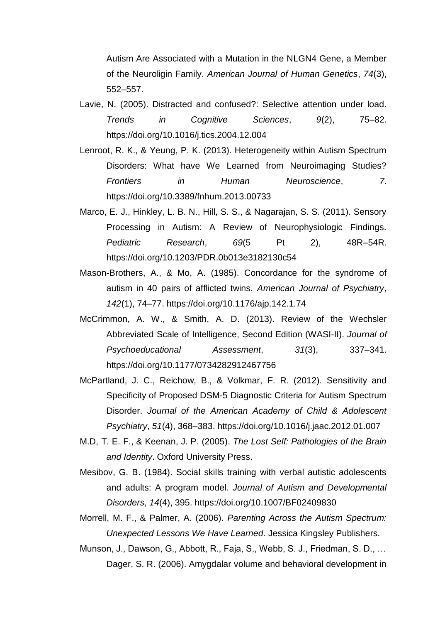Autism Are Associated with a Mutation in the NLGN4 Gene, a Member of the Neuroligin Family. *American Journal of Human Genetics*, *74*(3), 552–557.

- Lavie, N. (2005). Distracted and confused?: Selective attention under load. *Trends in Cognitive Sciences*, *9*(2), 75–82. https://doi.org/10.1016/j.tics.2004.12.004
- Lenroot, R. K., & Yeung, P. K. (2013). Heterogeneity within Autism Spectrum Disorders: What have We Learned from Neuroimaging Studies? *Frontiers in Human Neuroscience*, *7*. https://doi.org/10.3389/fnhum.2013.00733
- Marco, E. J., Hinkley, L. B. N., Hill, S. S., & Nagarajan, S. S. (2011). Sensory Processing in Autism: A Review of Neurophysiologic Findings. *Pediatric Research*, *69*(5 Pt 2), 48R–54R. https://doi.org/10.1203/PDR.0b013e3182130c54
- Mason-Brothers, A., & Mo, A. (1985). Concordance for the syndrome of autism in 40 pairs of afflicted twins. *American Journal of Psychiatry*, *142*(1), 74–77. https://doi.org/10.1176/ajp.142.1.74
- McCrimmon, A. W., & Smith, A. D. (2013). Review of the Wechsler Abbreviated Scale of Intelligence, Second Edition (WASI-II). *Journal of Psychoeducational Assessment*, *31*(3), 337–341. https://doi.org/10.1177/0734282912467756
- McPartland, J. C., Reichow, B., & Volkmar, F. R. (2012). Sensitivity and Specificity of Proposed DSM-5 Diagnostic Criteria for Autism Spectrum Disorder. *Journal of the American Academy of Child & Adolescent Psychiatry*, *51*(4), 368–383. https://doi.org/10.1016/j.jaac.2012.01.007
- M.D, T. E. F., & Keenan, J. P. (2005). *The Lost Self: Pathologies of the Brain and Identity*. Oxford University Press.
- Mesibov, G. B. (1984). Social skills training with verbal autistic adolescents and adults: A program model. *Journal of Autism and Developmental Disorders*, *14*(4), 395. https://doi.org/10.1007/BF02409830
- Morrell, M. F., & Palmer, A. (2006). *Parenting Across the Autism Spectrum: Unexpected Lessons We Have Learned*. Jessica Kingsley Publishers.
- Munson, J., Dawson, G., Abbott, R., Faja, S., Webb, S. J., Friedman, S. D., … Dager, S. R. (2006). Amygdalar volume and behavioral development in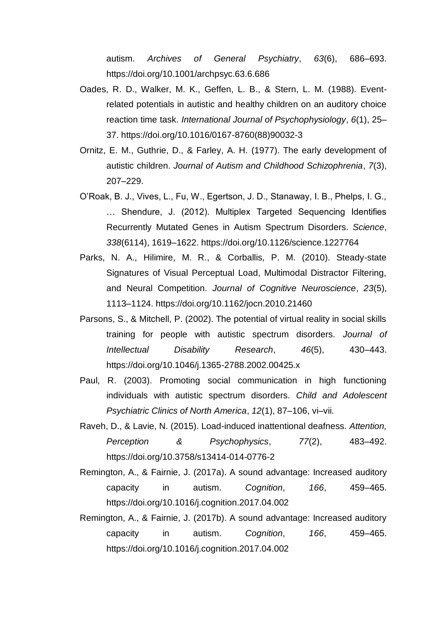autism. *Archives of General Psychiatry*, *63*(6), 686–693. https://doi.org/10.1001/archpsyc.63.6.686

- Oades, R. D., Walker, M. K., Geffen, L. B., & Stern, L. M. (1988). Eventrelated potentials in autistic and healthy children on an auditory choice reaction time task. *International Journal of Psychophysiology*, *6*(1), 25– 37. https://doi.org/10.1016/0167-8760(88)90032-3
- Ornitz, E. M., Guthrie, D., & Farley, A. H. (1977). The early development of autistic children. *Journal of Autism and Childhood Schizophrenia*, *7*(3), 207–229.
- O'Roak, B. J., Vives, L., Fu, W., Egertson, J. D., Stanaway, I. B., Phelps, I. G., … Shendure, J. (2012). Multiplex Targeted Sequencing Identifies Recurrently Mutated Genes in Autism Spectrum Disorders. *Science*, *338*(6114), 1619–1622. https://doi.org/10.1126/science.1227764
- Parks, N. A., Hilimire, M. R., & Corballis, P. M. (2010). Steady-state Signatures of Visual Perceptual Load, Multimodal Distractor Filtering, and Neural Competition. *Journal of Cognitive Neuroscience*, *23*(5), 1113–1124. https://doi.org/10.1162/jocn.2010.21460
- Parsons, S., & Mitchell, P. (2002). The potential of virtual reality in social skills training for people with autistic spectrum disorders. *Journal of Intellectual Disability Research*, *46*(5), 430–443. https://doi.org/10.1046/j.1365-2788.2002.00425.x
- Paul, R. (2003). Promoting social communication in high functioning individuals with autistic spectrum disorders. *Child and Adolescent Psychiatric Clinics of North America*, *12*(1), 87–106, vi–vii.
- Raveh, D., & Lavie, N. (2015). Load-induced inattentional deafness. *Attention, Perception & Psychophysics*, *77*(2), 483–492. https://doi.org/10.3758/s13414-014-0776-2
- Remington, A., & Fairnie, J. (2017a). A sound advantage: Increased auditory capacity in autism. *Cognition*, *166*, 459–465. https://doi.org/10.1016/j.cognition.2017.04.002
- Remington, A., & Fairnie, J. (2017b). A sound advantage: Increased auditory capacity in autism. *Cognition*, *166*, 459–465. https://doi.org/10.1016/j.cognition.2017.04.002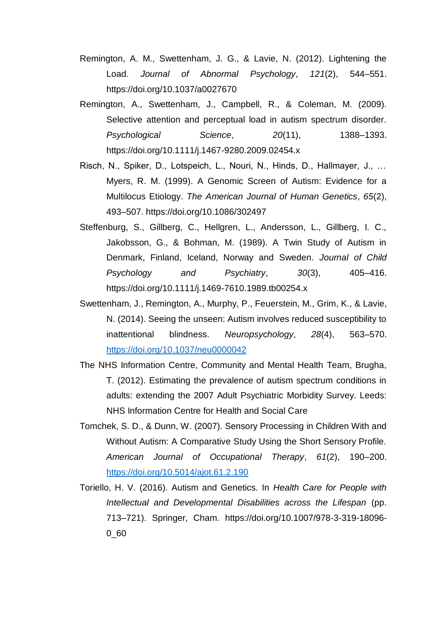- Remington, A. M., Swettenham, J. G., & Lavie, N. (2012). Lightening the Load. *Journal of Abnormal Psychology*, *121*(2), 544–551. https://doi.org/10.1037/a0027670
- Remington, A., Swettenham, J., Campbell, R., & Coleman, M. (2009). Selective attention and perceptual load in autism spectrum disorder. *Psychological Science*, *20*(11), 1388–1393. https://doi.org/10.1111/j.1467-9280.2009.02454.x
- Risch, N., Spiker, D., Lotspeich, L., Nouri, N., Hinds, D., Hallmayer, J., … Myers, R. M. (1999). A Genomic Screen of Autism: Evidence for a Multilocus Etiology. *The American Journal of Human Genetics*, *65*(2), 493–507. https://doi.org/10.1086/302497
- Steffenburg, S., Gillberg, C., Hellgren, L., Andersson, L., Gillberg, I. C., Jakobsson, G., & Bohman, M. (1989). A Twin Study of Autism in Denmark, Finland, Iceland, Norway and Sweden. *Journal of Child Psychology and Psychiatry*, *30*(3), 405–416. https://doi.org/10.1111/j.1469-7610.1989.tb00254.x
- Swettenham, J., Remington, A., Murphy, P., Feuerstein, M., Grim, K., & Lavie, N. (2014). Seeing the unseen: Autism involves reduced susceptibility to inattentional blindness. *Neuropsychology*, *28*(4), 563–570. <https://doi.org/10.1037/neu0000042>
- The NHS Information Centre, Community and Mental Health Team, Brugha, T. (2012). Estimating the prevalence of autism spectrum conditions in adults: extending the 2007 Adult Psychiatric Morbidity Survey. Leeds: NHS Information Centre for Health and Social Care
- Tomchek, S. D., & Dunn, W. (2007). Sensory Processing in Children With and Without Autism: A Comparative Study Using the Short Sensory Profile. *American Journal of Occupational Therapy*, *61*(2), 190–200. <https://doi.org/10.5014/ajot.61.2.190>
- Toriello, H. V. (2016). Autism and Genetics. In *Health Care for People with Intellectual and Developmental Disabilities across the Lifespan* (pp. 713–721). Springer, Cham. https://doi.org/10.1007/978-3-319-18096- 0\_60